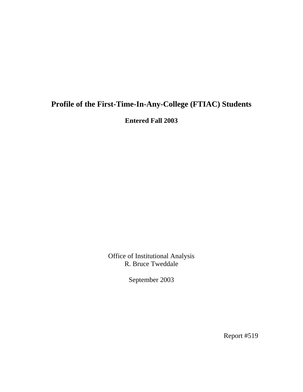# **Profile of the First-Time-In-Any-College (FTIAC) Students**

**Entered Fall 2003** 

Office of Institutional Analysis R. Bruce Tweddale

September 2003

Report #519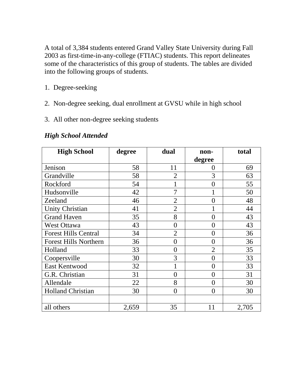A total of 3,384 students entered Grand Valley State University during Fall 2003 as first-time-in-any-college (FTIAC) students. This report delineates some of the characteristics of this group of students. The tables are divided into the following groups of students.

- 1. Degree-seeking
- 2. Non-degree seeking, dual enrollment at GVSU while in high school
- 3. All other non-degree seeking students

| <b>High School</b>           | degree | dual           | non-           | total |
|------------------------------|--------|----------------|----------------|-------|
|                              |        |                | degree         |       |
| Jenison                      | 58     | 11             | $\overline{0}$ | 69    |
| Grandville                   | 58     | $\overline{2}$ | 3              | 63    |
| Rockford                     | 54     |                | $\theta$       | 55    |
| Hudsonville                  | 42     | 7              |                | 50    |
| Zeeland                      | 46     | $\overline{2}$ | $\overline{0}$ | 48    |
| <b>Unity Christian</b>       | 41     | $\overline{2}$ | 1              | 44    |
| <b>Grand Haven</b>           | 35     | 8              | $\overline{0}$ | 43    |
| West Ottawa                  | 43     | $\overline{0}$ | $\overline{0}$ | 43    |
| <b>Forest Hills Central</b>  | 34     | $\overline{2}$ | $\overline{0}$ | 36    |
| <b>Forest Hills Northern</b> | 36     | $\theta$       | $\overline{0}$ | 36    |
| Holland                      | 33     | $\theta$       | $\overline{2}$ | 35    |
| Coopersville                 | 30     | 3              | $\overline{0}$ | 33    |
| <b>East Kentwood</b>         | 32     |                | $\theta$       | 33    |
| G.R. Christian               | 31     | $\theta$       | $\overline{0}$ | 31    |
| Allendale                    | 22     | 8              | $\theta$       | 30    |
| <b>Holland Christian</b>     | 30     | $\overline{0}$ | $\overline{0}$ | 30    |
|                              |        |                |                |       |
| all others                   | 2,659  | 35             | 11             | 2,705 |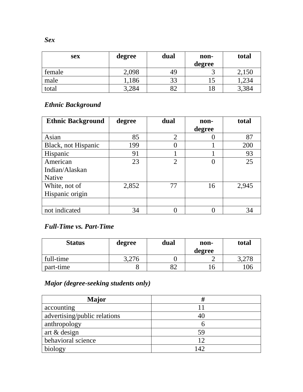| <b>sex</b> | degree | dual | non-   | total |
|------------|--------|------|--------|-------|
|            |        |      | degree |       |
| female     | 2,098  | 49   |        | 2,150 |
| male       | ,186   | 33   |        | ,234  |
| total      | 3,284  |      | 18     | 3,384 |

### *Ethnic Background*

| <b>Ethnic Background</b> | degree | dual           | non-   | total |
|--------------------------|--------|----------------|--------|-------|
|                          |        |                | degree |       |
| Asian                    | 85     | $\overline{2}$ |        | 87    |
| Black, not Hispanic      | 199    |                |        | 200   |
| Hispanic                 | 91     |                |        | 93    |
| American                 | 23     | $\overline{2}$ |        | 25    |
| Indian/Alaskan           |        |                |        |       |
| <b>Native</b>            |        |                |        |       |
| White, not of            | 2,852  | 77             | 16     | 2,945 |
| Hispanic origin          |        |                |        |       |
|                          |        |                |        |       |
| not indicated            | 34     |                |        | 34    |

#### *Full-Time vs. Part-Time*

| <b>Status</b> | degree | dual | non-<br>degree | total |
|---------------|--------|------|----------------|-------|
| full-time     | 3,276  |      |                | 3,278 |
| part-time     |        | റി   |                | 106   |

# *Major (degree-seeking students only)*

| Major                        |     |
|------------------------------|-----|
| accounting                   |     |
| advertising/public relations | 40  |
| anthropology                 |     |
| art & design                 | 59  |
| behavioral science           | 12  |
| biology                      | 142 |

*Sex*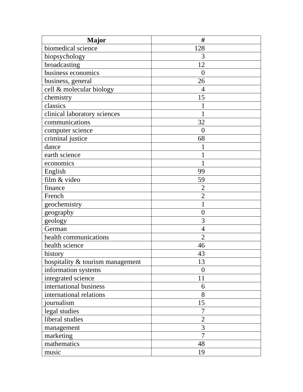| <b>Major</b>                     | #              |
|----------------------------------|----------------|
| biomedical science               | 128            |
| biopsychology                    | 3              |
| broadcasting                     | 12             |
| business economics               | $\overline{0}$ |
| business, general                | 26             |
| cell & molecular biology         | 4              |
| chemistry                        | 15             |
| classics                         | 1              |
| clinical laboratory sciences     |                |
| communications                   | 32             |
| computer science                 | $\overline{0}$ |
| criminal justice                 | 68             |
| dance                            |                |
| earth science                    |                |
| economics                        |                |
| English                          | 99             |
| film & video                     | 59             |
| finance                          | $\overline{2}$ |
| French                           | $\overline{2}$ |
| geochemistry                     |                |
| geography                        | $\overline{0}$ |
| geology                          | 3              |
| German                           | $\overline{4}$ |
| health communications            | $\overline{2}$ |
| health science                   | 46             |
| history                          | 43             |
| hospitality & tourism management | 13             |
| information systems              | $\overline{0}$ |
| integrated science               | 11             |
| international business           | 6              |
| international relations          | 8              |
| journalism                       | 15             |
| legal studies                    | 7              |
| liberal studies                  | $\overline{2}$ |
| management                       | 3              |
| marketing                        | 7              |
| mathematics                      | 48             |
| music                            | 19             |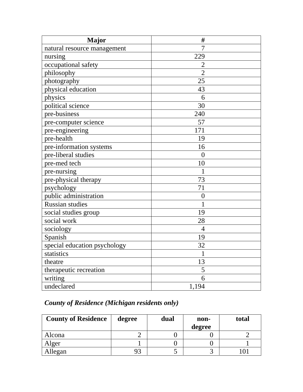| Major                        | #                |
|------------------------------|------------------|
| natural resource management  | $\overline{7}$   |
| nursing                      | 229              |
| occupational safety          | $\overline{2}$   |
| philosophy                   | $\overline{2}$   |
| photography                  | 25               |
| physical education           | 43               |
| physics                      | 6                |
| political science            | 30               |
| pre-business                 | 240              |
| pre-computer science         | 57               |
| pre-engineering              | 171              |
| pre-health                   | 19               |
| pre-information systems      | 16               |
| pre-liberal studies          | $\overline{0}$   |
| pre-med tech                 | 10               |
| pre-nursing                  | 1                |
| pre-physical therapy         | 73               |
| psychology                   | 71               |
| public administration        | $\boldsymbol{0}$ |
| <b>Russian studies</b>       | $\mathbf{1}$     |
| social studies group         | 19               |
| social work                  | 28               |
| sociology                    | $\overline{4}$   |
| Spanish                      | 19               |
| special education psychology | 32               |
| statistics                   | 1                |
| theatre                      | 13               |
| therapeutic recreation       | 5                |
| writing                      | 6                |
| undeclared                   | 1,194            |

# *County of Residence (Michigan residents only)*

| <b>County of Residence</b> | degree | dual | non-   | total |
|----------------------------|--------|------|--------|-------|
|                            |        |      | degree |       |
| Alcona                     |        |      |        |       |
| Alger                      |        |      |        |       |
| Allegan                    | 93     |      |        |       |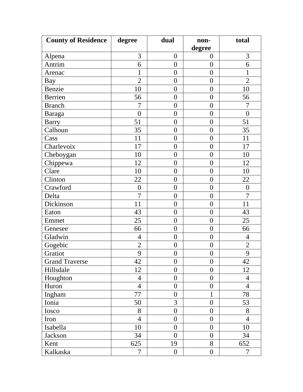| <b>County of Residence</b> | degree           | dual             | non-<br>degree   | total            |
|----------------------------|------------------|------------------|------------------|------------------|
| Alpena                     | 3                | $\boldsymbol{0}$ | $\boldsymbol{0}$ | 3                |
| Antrim                     | 6                | $\overline{0}$   | $\overline{0}$   | 6                |
| Arenac                     | $\mathbf{1}$     | $\overline{0}$   | $\boldsymbol{0}$ | 1                |
| Bay                        | $\overline{2}$   | $\overline{0}$   | $\overline{0}$   | $\overline{2}$   |
| Benzie                     | 10               | $\boldsymbol{0}$ | $\boldsymbol{0}$ | 10               |
| Berrien                    | 56               | $\overline{0}$   | $\overline{0}$   | 56               |
| <b>Branch</b>              | $\overline{7}$   | $\overline{0}$   | $\overline{0}$   | $\overline{7}$   |
| Baraga                     | $\boldsymbol{0}$ | $\boldsymbol{0}$ | $\boldsymbol{0}$ | $\overline{0}$   |
| <b>Barry</b>               | 51               | $\overline{0}$   | $\overline{0}$   | 51               |
| Calhoun                    | 35               | $\boldsymbol{0}$ | $\boldsymbol{0}$ | 35               |
| Cass                       | 11               | $\boldsymbol{0}$ | $\boldsymbol{0}$ | 11               |
| Charlevoix                 | 17               | $\overline{0}$   | $\boldsymbol{0}$ | 17               |
| Cheboygan                  | 10               | $\boldsymbol{0}$ | $\overline{0}$   | 10               |
| Chippewa                   | 12               | $\boldsymbol{0}$ | $\boldsymbol{0}$ | 12               |
| Clare                      | 10               | $\boldsymbol{0}$ | $\boldsymbol{0}$ | 10               |
| Clinton                    | 22               | $\boldsymbol{0}$ | $\boldsymbol{0}$ | 22               |
| Crawford                   | $\boldsymbol{0}$ | $\overline{0}$   | $\boldsymbol{0}$ | $\boldsymbol{0}$ |
| Delta                      | $\overline{7}$   | $\overline{0}$   | $\boldsymbol{0}$ | $\overline{7}$   |
| Dickinson                  | 11               | $\overline{0}$   | $\overline{0}$   | 11               |
| Eaton                      | 43               | $\boldsymbol{0}$ | $\boldsymbol{0}$ | 43               |
| Emmet                      | 25               | $\overline{0}$   | $\overline{0}$   | 25               |
| Genesee                    | 66               | $\overline{0}$   | $\overline{0}$   | 66               |
| Gladwin                    | $\overline{4}$   | $\boldsymbol{0}$ | $\boldsymbol{0}$ | $\overline{4}$   |
| Gogebic                    | $\overline{2}$   | $\boldsymbol{0}$ | $\boldsymbol{0}$ | $\overline{2}$   |
| Gratiot                    | 9                | $\boldsymbol{0}$ | $\boldsymbol{0}$ | 9                |
| <b>Grand Traverse</b>      | 42               | $\overline{0}$   | $\overline{0}$   | 42               |
| Hillsdale                  | 12               | $\overline{0}$   | $\mathbf{0}$     | 12               |
| Houghton                   | $\overline{4}$   | $\overline{0}$   | $\mathbf{0}$     | $\overline{4}$   |
| Huron                      | $\overline{4}$   | $\overline{0}$   | $\boldsymbol{0}$ | $\overline{4}$   |
| Ingham                     | 77               | $\overline{0}$   | 1                | 78               |
| Ionia                      | 50               | 3                | $\overline{0}$   | 53               |
| Iosco                      | 8                | $\overline{0}$   | $\mathbf{0}$     | 8                |
| Iron                       | $\overline{4}$   | $\overline{0}$   | $\boldsymbol{0}$ | $\overline{4}$   |
| Isabella                   | 10               | $\overline{0}$   | $\mathbf{0}$     | 10               |
| Jackson                    | 34               | $\overline{0}$   | $\mathbf{0}$     | 34               |
| Kent                       | 625              | 19               | 8                | 652              |
| Kalkaska                   | $\overline{7}$   | $\overline{0}$   | $\overline{0}$   | $\overline{7}$   |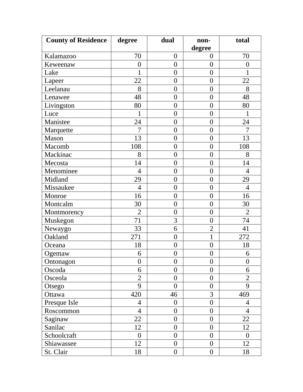| <b>County of Residence</b> | degree           | dual             | non-<br>degree   | total            |
|----------------------------|------------------|------------------|------------------|------------------|
| Kalamazoo                  | 70               | $\boldsymbol{0}$ | $\overline{0}$   | 70               |
| Keweenaw                   | $\boldsymbol{0}$ | $\overline{0}$   | $\overline{0}$   | $\overline{0}$   |
| Lake                       | $\mathbf{1}$     | $\overline{0}$   | $\overline{0}$   |                  |
| Lapeer                     | 22               | $\overline{0}$   | $\overline{0}$   | 22               |
| Leelanau                   | 8                | $\overline{0}$   | $\overline{0}$   | 8                |
| Lenawee                    | 48               | $\overline{0}$   | $\overline{0}$   | 48               |
| Livingston                 | 80               | $\overline{0}$   | $\theta$         | 80               |
| Luce                       | 1                | $\boldsymbol{0}$ | $\boldsymbol{0}$ |                  |
| Manistee                   | 24               | $\overline{0}$   | $\overline{0}$   | 24               |
| Marquette                  | $\overline{7}$   | $\boldsymbol{0}$ | $\boldsymbol{0}$ | $\overline{7}$   |
| Mason                      | 13               | $\overline{0}$   | $\theta$         | 13               |
| Macomb                     | 108              | $\overline{0}$   | $\theta$         | 108              |
| Mackinac                   | 8                | $\boldsymbol{0}$ | $\overline{0}$   | 8                |
| Mecosta                    | 14               | $\overline{0}$   | $\boldsymbol{0}$ | 14               |
| Menominee                  | $\overline{4}$   | $\overline{0}$   | $\theta$         | $\overline{4}$   |
| Midland                    | 29               | $\overline{0}$   | $\boldsymbol{0}$ | 29               |
| Missaukee                  | $\overline{4}$   | $\overline{0}$   | $\overline{0}$   | $\overline{4}$   |
| Monroe                     | 16               | $\overline{0}$   | $\overline{0}$   | 16               |
| Montcalm                   | 30               | $\overline{0}$   | $\overline{0}$   | 30               |
| Montmorency                | $\overline{2}$   | $\overline{0}$   | $\boldsymbol{0}$ | $\overline{2}$   |
| Muskegon                   | 71               | 3                | $\overline{0}$   | 74               |
| Newaygo                    | 33               | 6                | $\overline{2}$   | 41               |
| Oakland                    | 271              | $\boldsymbol{0}$ | $\mathbf{1}$     | 272              |
| Oceana                     | 18               | $\overline{0}$   | $\boldsymbol{0}$ | 18               |
| Ogemaw                     | 6                | $\boldsymbol{0}$ | $\boldsymbol{0}$ | 6                |
| Ontonagon                  | $\boldsymbol{0}$ | $\overline{0}$   | $\theta$         | $\boldsymbol{0}$ |
| Oscoda                     | 6                | $\overline{0}$   | $\overline{0}$   | 6                |
| Osceola                    | $\overline{2}$   | $\overline{0}$   | $\overline{0}$   | $\overline{2}$   |
| Otsego                     | 9                | $\overline{0}$   | $\overline{0}$   | 9                |
| Ottawa                     | 420              | 46               | 3                | 469              |
| Presque Isle               | $\overline{4}$   | $\overline{0}$   | $\boldsymbol{0}$ | $\overline{4}$   |
| Roscommon                  | $\overline{4}$   | $\overline{0}$   | $\overline{0}$   | $\overline{4}$   |
| Saginaw                    | 22               | $\overline{0}$   | $\boldsymbol{0}$ | 22               |
| Sanilac                    | 12               | $\overline{0}$   | $\overline{0}$   | 12               |
| Schoolcraft                | $\overline{0}$   | $\overline{0}$   | $\mathbf{0}$     | $\overline{0}$   |
| Shiawassee                 | 12               | $\overline{0}$   | $\mathbf{0}$     | 12               |
| St. Clair                  | 18               | $\overline{0}$   | $\overline{0}$   | 18               |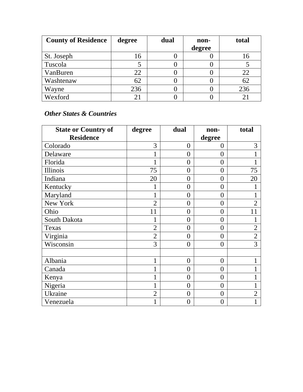| <b>County of Residence</b> | degree         | dual | non-   | total |
|----------------------------|----------------|------|--------|-------|
|                            |                |      | degree |       |
| St. Joseph                 | 16             |      |        | 16    |
| Tuscola                    |                |      |        |       |
| VanBuren                   | 22             |      |        | 22    |
| Washtenaw                  | 62             |      |        | 62    |
| Wayne                      | 236            |      |        | 236   |
| Wexford                    | 2 <sub>1</sub> |      |        |       |

#### *Other States & Countries*

| <b>State or Country of</b> | degree         | dual           | non-             | total          |
|----------------------------|----------------|----------------|------------------|----------------|
| <b>Residence</b>           |                |                | degree           |                |
| Colorado                   | 3              | $\overline{0}$ | $\overline{0}$   | 3              |
| Delaware                   | $\mathbf{1}$   | $\overline{0}$ | $\overline{0}$   | 1              |
| Florida                    | 1              | $\overline{0}$ | $\overline{0}$   | 1              |
| Illinois                   | 75             | $\overline{0}$ | $\boldsymbol{0}$ | 75             |
| Indiana                    | 20             | $\overline{0}$ | $\overline{0}$   | 20             |
| Kentucky                   |                | $\overline{0}$ | $\overline{0}$   |                |
| Maryland                   | $\mathbf{1}$   | $\overline{0}$ | $\boldsymbol{0}$ | 1              |
| New York                   | $\overline{2}$ | $\overline{0}$ | $\overline{0}$   | $\overline{2}$ |
| Ohio                       | 11             | $\overline{0}$ | $\overline{0}$   | 11             |
| South Dakota               | 1              | $\theta$       | $\overline{0}$   | 1              |
| Texas                      | $\overline{2}$ | $\overline{0}$ | $\overline{0}$   | $\overline{2}$ |
| Virginia                   | $\overline{2}$ | $\theta$       | $\overline{0}$   | $\overline{2}$ |
| Wisconsin                  | 3              | $\overline{0}$ | $\overline{0}$   | $\overline{3}$ |
| Albania                    | $\mathbf{1}$   | $\overline{0}$ | $\boldsymbol{0}$ | $\mathbf{1}$   |
| Canada                     | 1              | $\overline{0}$ | $\overline{0}$   | 1              |
| Kenya                      | $\mathbf{1}$   | $\overline{0}$ | $\overline{0}$   | $\mathbf{1}$   |
| Nigeria                    |                | $\theta$       | $\overline{0}$   | 1              |
| Ukraine                    | $\overline{2}$ | $\theta$       | $\overline{0}$   | $\overline{2}$ |
| Venezuela                  | 1              | $\overline{0}$ | $\overline{0}$   | $\mathbf{1}$   |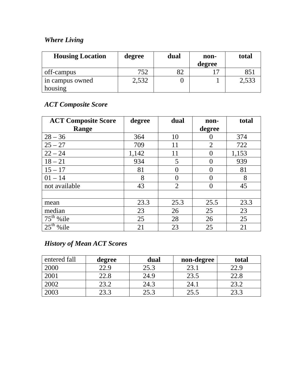### *Where Living*

| <b>Housing Location</b> | degree | dual | non-<br>degree | total           |
|-------------------------|--------|------|----------------|-----------------|
| off-campus              | 752    |      |                | 85 <sup>2</sup> |
| in campus owned         | 2,532  |      |                | 2,533           |
| housing                 |        |      |                |                 |

# *ACT Composite Score*

| <b>ACT Composite Score</b> | degree | dual           | non-              | total |
|----------------------------|--------|----------------|-------------------|-------|
| Range                      |        |                | degree            |       |
| $28 - 36$                  | 364    | 10             |                   | 374   |
| $25 - 27$                  | 709    | 11             | $\overline{2}$    | 722   |
| $22 - 24$                  | 1,142  | 11             | $\mathbf{\Omega}$ | 1,153 |
| $18 - 21$                  | 934    | 5              | $\Omega$          | 939   |
| $15 - 17$                  | 81     | 0              | $\theta$          | 81    |
| $01 - 14$                  | 8      | ()             | $\Omega$          | 8     |
| not available              | 43     | $\overline{2}$ |                   | 45    |
|                            |        |                |                   |       |
| mean                       | 23.3   | 25.3           | 25.5              | 23.3  |
| median                     | 23     | 26             | 25                | 23    |
| $75th$ % ile               | 25     | 28             | 26                | 25    |
| $25th$ % ile               | 21     | 23             | 25                | 21    |

### *History of Mean ACT Scores*

| entered fall | degree | dual | non-degree | total |
|--------------|--------|------|------------|-------|
| 2000         | 22.9   | 25.3 | 23.1       | 22.9  |
| 2001         | 22.8   | 24.9 | 23.5       | 22.8  |
| 2002         | 23.2   | 24.3 | 24.1       | 23.2  |
| 2003         | 23.3   | 25.3 | 25.5       |       |